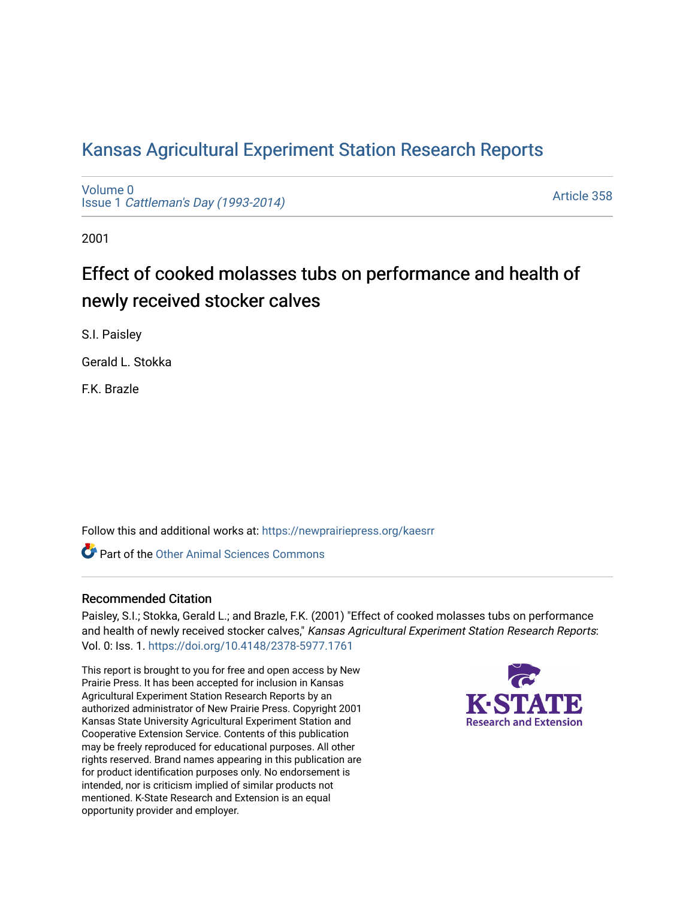## [Kansas Agricultural Experiment Station Research Reports](https://newprairiepress.org/kaesrr)

[Volume 0](https://newprairiepress.org/kaesrr/vol0) Issue 1 [Cattleman's Day \(1993-2014\)](https://newprairiepress.org/kaesrr/vol0/iss1) 

[Article 358](https://newprairiepress.org/kaesrr/vol0/iss1/358) 

2001

# Effect of cooked molasses tubs on performance and health of newly received stocker calves

S.I. Paisley

Gerald L. Stokka

F.K. Brazle

Follow this and additional works at: [https://newprairiepress.org/kaesrr](https://newprairiepress.org/kaesrr?utm_source=newprairiepress.org%2Fkaesrr%2Fvol0%2Fiss1%2F358&utm_medium=PDF&utm_campaign=PDFCoverPages) 

**C** Part of the [Other Animal Sciences Commons](http://network.bepress.com/hgg/discipline/82?utm_source=newprairiepress.org%2Fkaesrr%2Fvol0%2Fiss1%2F358&utm_medium=PDF&utm_campaign=PDFCoverPages)

#### Recommended Citation

Paisley, S.I.; Stokka, Gerald L.; and Brazle, F.K. (2001) "Effect of cooked molasses tubs on performance and health of newly received stocker calves," Kansas Agricultural Experiment Station Research Reports: Vol. 0: Iss. 1. <https://doi.org/10.4148/2378-5977.1761>

This report is brought to you for free and open access by New Prairie Press. It has been accepted for inclusion in Kansas Agricultural Experiment Station Research Reports by an authorized administrator of New Prairie Press. Copyright 2001 Kansas State University Agricultural Experiment Station and Cooperative Extension Service. Contents of this publication may be freely reproduced for educational purposes. All other rights reserved. Brand names appearing in this publication are for product identification purposes only. No endorsement is intended, nor is criticism implied of similar products not mentioned. K-State Research and Extension is an equal opportunity provider and employer.

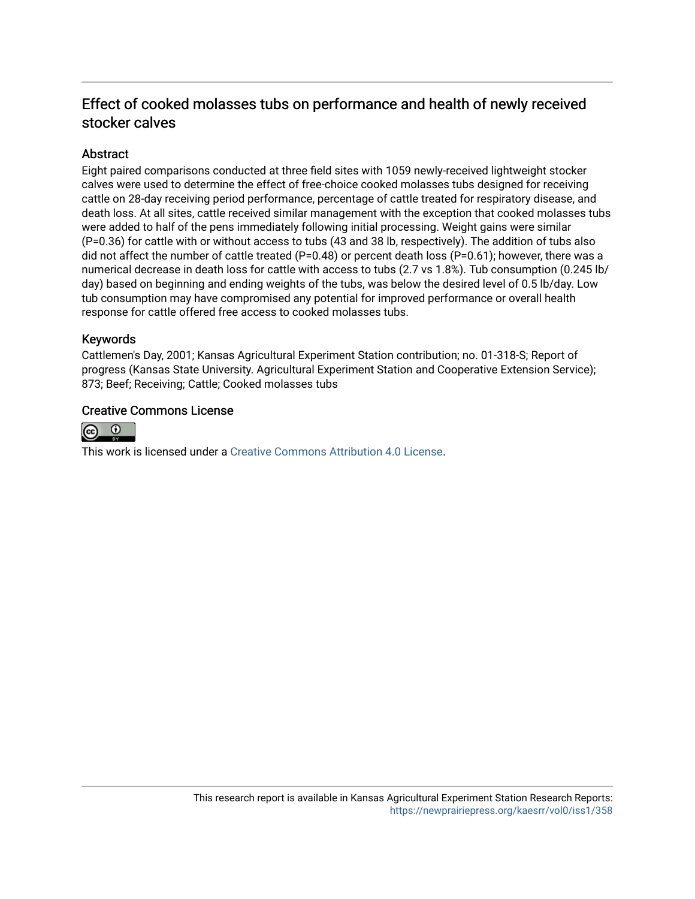### Effect of cooked molasses tubs on performance and health of newly received stocker calves

#### **Abstract**

Eight paired comparisons conducted at three field sites with 1059 newly-received lightweight stocker calves were used to determine the effect of free-choice cooked molasses tubs designed for receiving cattle on 28-day receiving period performance, percentage of cattle treated for respiratory disease, and death loss. At all sites, cattle received similar management with the exception that cooked molasses tubs were added to half of the pens immediately following initial processing. Weight gains were similar (P=0.36) for cattle with or without access to tubs (43 and 38 lb, respectively). The addition of tubs also did not affect the number of cattle treated (P=0.48) or percent death loss (P=0.61); however, there was a numerical decrease in death loss for cattle with access to tubs (2.7 vs 1.8%). Tub consumption (0.245 lb/ day) based on beginning and ending weights of the tubs, was below the desired level of 0.5 lb/day. Low tub consumption may have compromised any potential for improved performance or overall health response for cattle offered free access to cooked molasses tubs.

#### Keywords

Cattlemen's Day, 2001; Kansas Agricultural Experiment Station contribution; no. 01-318-S; Report of progress (Kansas State University. Agricultural Experiment Station and Cooperative Extension Service); 873; Beef; Receiving; Cattle; Cooked molasses tubs

#### Creative Commons License



This work is licensed under a [Creative Commons Attribution 4.0 License](https://creativecommons.org/licenses/by/4.0/).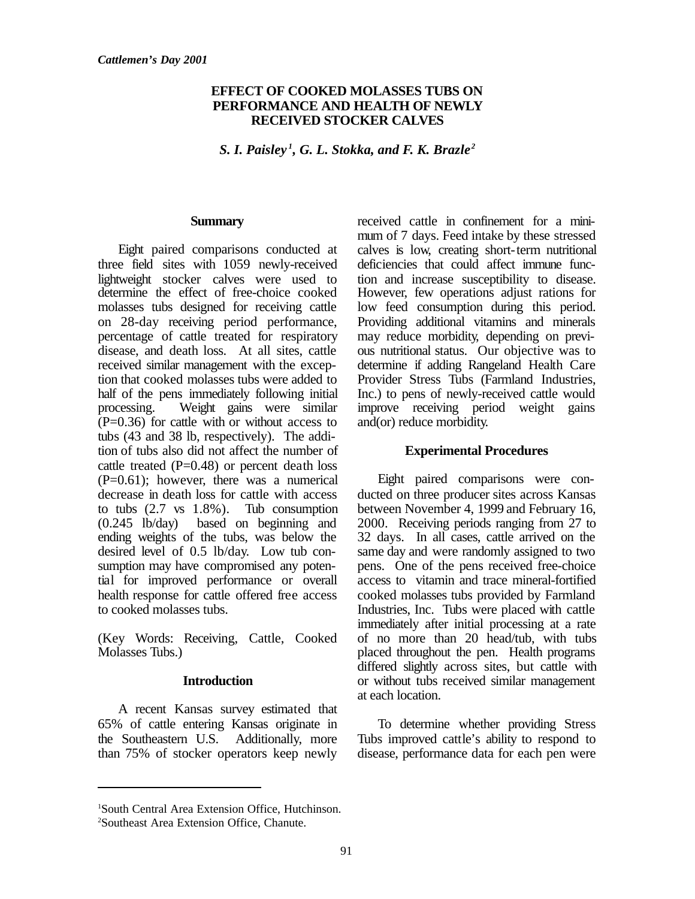#### **EFFECT OF COOKED MOLASSES TUBS ON PERFORMANCE AND HEALTH OF NEWLY RECEIVED STOCKER CALVES**

*S. I. Paisley <sup>1</sup> , G. L. Stokka, and F. K. Brazle <sup>2</sup>*

#### **Summary**

Eight paired comparisons conducted at three field sites with 1059 newly-received lightweight stocker calves were used to determine the effect of free-choice cooked molasses tubs designed for receiving cattle on 28-day receiving period performance, percentage of cattle treated for respiratory disease, and death loss. At all sites, cattle received similar management with the exception that cooked molasses tubs were added to half of the pens immediately following initial processing. Weight gains were similar  $(P=0.36)$  for cattle with or without access to tubs (43 and 38 lb, respectively). The addition of tubs also did not affect the number of cattle treated  $(P=0.48)$  or percent death loss  $(P=0.61)$ ; however, there was a numerical decrease in death loss for cattle with access to tubs (2.7 vs 1.8%). Tub consumption (0.245 lb/day) based on beginning and ending weights of the tubs, was below the desired level of 0.5 lb/day. Low tub consumption may have compromised any potential for improved performance or overall health response for cattle offered free access to cooked molasses tubs.

(Key Words: Receiving, Cattle, Cooked Molasses Tubs.)

#### **Introduction**

A recent Kansas survey estimated that 65% of cattle entering Kansas originate in the Southeastern U.S. Additionally, more than 75% of stocker operators keep newly received cattle in confinement for a minimum of 7 days. Feed intake by these stressed calves is low, creating short-term nutritional deficiencies that could affect immune function and increase susceptibility to disease. However, few operations adjust rations for low feed consumption during this period. Providing additional vitamins and minerals may reduce morbidity, depending on previous nutritional status. Our objective was to determine if adding Rangeland Health Care Provider Stress Tubs (Farmland Industries, Inc.) to pens of newly-received cattle would improve receiving period weight gains and(or) reduce morbidity.

#### **Experimental Procedures**

Eight paired comparisons were conducted on three producer sites across Kansas between November 4, 1999 and February 16, 2000. Receiving periods ranging from 27 to 32 days. In all cases, cattle arrived on the same day and were randomly assigned to two pens. One of the pens received free-choice access to vitamin and trace mineral-fortified cooked molasses tubs provided by Farmland Industries, Inc. Tubs were placed with cattle immediately after initial processing at a rate of no more than 20 head/tub, with tubs placed throughout the pen. Health programs differed slightly across sites, but cattle with or without tubs received similar management at each location.

To determine whether providing Stress Tubs improved cattle's ability to respond to disease, performance data for each pen were

<sup>1</sup>South Central Area Extension Office, Hutchinson. <sup>2</sup>Southeast Area Extension Office, Chanute.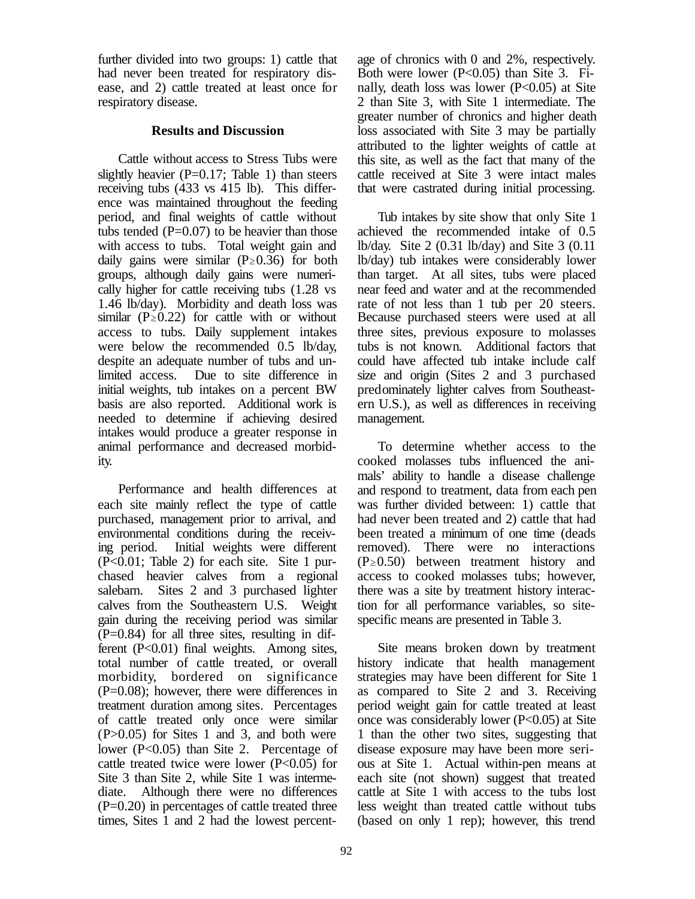further divided into two groups: 1) cattle that had never been treated for respiratory disease, and 2) cattle treated at least once for respiratory disease.

#### **Results and Discussion**

Cattle without access to Stress Tubs were slightly heavier  $(P=0.17;$  Table 1) than steers receiving tubs (433 vs 415 lb). This difference was maintained throughout the feeding period, and final weights of cattle without tubs tended  $(P=0.07)$  to be heavier than those with access to tubs. Total weight gain and daily gains were similar  $(P \ge 0.36)$  for both groups, although daily gains were numerically higher for cattle receiving tubs (1.28 vs 1.46 lb/day). Morbidity and death loss was similar ( $P \ge 0.22$ ) for cattle with or without access to tubs. Daily supplement intakes were below the recommended 0.5 lb/day, despite an adequate number of tubs and unlimited access. Due to site difference in initial weights, tub intakes on a percent BW basis are also reported. Additional work is needed to determine if achieving desired intakes would produce a greater response in animal performance and decreased morbidity.

Performance and health differences at each site mainly reflect the type of cattle purchased, management prior to arrival, and environmental conditions during the receiving period. Initial weights were different (P<0.01; Table 2) for each site. Site 1 purchased heavier calves from a regional salebarn. Sites 2 and 3 purchased lighter calves from the Southeastern U.S. Weight gain during the receiving period was similar  $(P=0.84)$  for all three sites, resulting in different (P<0.01) final weights. Among sites, total number of cattle treated, or overall morbidity, bordered on significance (P=0.08); however, there were differences in treatment duration among sites. Percentages of cattle treated only once were similar (P>0.05) for Sites 1 and 3, and both were lower (P<0.05) than Site 2. Percentage of cattle treated twice were lower  $(P<0.05)$  for Site 3 than Site 2, while Site 1 was intermediate. Although there were no differences  $(P=0.20)$  in percentages of cattle treated three times, Sites 1 and 2 had the lowest percentage of chronics with 0 and 2%, respectively. Both were lower  $(P<0.05)$  than Site 3. Finally, death loss was lower  $(P<0.05)$  at Site 2 than Site 3, with Site 1 intermediate. The greater number of chronics and higher death loss associated with Site 3 may be partially attributed to the lighter weights of cattle at this site, as well as the fact that many of the cattle received at Site 3 were intact males that were castrated during initial processing.

Tub intakes by site show that only Site 1 achieved the recommended intake of 0.5 lb/day. Site 2 (0.31 lb/day) and Site 3 (0.11 lb/day) tub intakes were considerably lower than target. At all sites, tubs were placed near feed and water and at the recommended rate of not less than 1 tub per 20 steers. Because purchased steers were used at all three sites, previous exposure to molasses tubs is not known. Additional factors that could have affected tub intake include calf size and origin (Sites 2 and 3 purchased predominately lighter calves from Southeastern U.S.), as well as differences in receiving management.

To determine whether access to the cooked molasses tubs influenced the animals' ability to handle a disease challenge and respond to treatment, data from each pen was further divided between: 1) cattle that had never been treated and 2) cattle that had been treated a minimum of one time (deads removed). There were no interactions  $(P \ge 0.50)$  between treatment history and access to cooked molasses tubs; however, there was a site by treatment history interaction for all performance variables, so sitespecific means are presented in Table 3.

Site means broken down by treatment history indicate that health management strategies may have been different for Site 1 as compared to Site 2 and 3. Receiving period weight gain for cattle treated at least once was considerably lower  $(P<0.05)$  at Site 1 than the other two sites, suggesting that disease exposure may have been more serious at Site 1. Actual within-pen means at each site (not shown) suggest that treated cattle at Site 1 with access to the tubs lost less weight than treated cattle without tubs (based on only 1 rep); however, this trend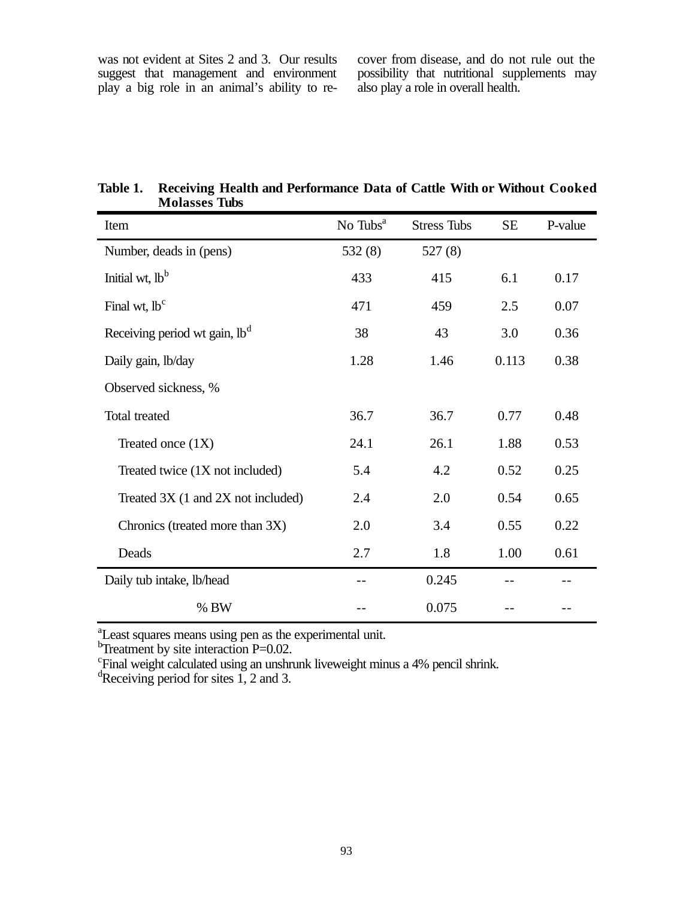was not evident at Sites 2 and 3. Our results suggest that management and environment play a big role in an animal's ability to re-

cover from disease, and do not rule out the possibility that nutritional supplements may also play a role in overall health.

| Item                                      | No Tubs <sup>a</sup> | <b>Stress Tubs</b> | <b>SE</b> | P-value |
|-------------------------------------------|----------------------|--------------------|-----------|---------|
| Number, deads in (pens)                   | 532(8)               | 527(8)             |           |         |
| Initial wt, lb <sup>b</sup>               | 433                  | 415                | 6.1       | 0.17    |
| Final wt, lb <sup>c</sup>                 | 471                  | 459                | 2.5       | 0.07    |
| Receiving period wt gain, lb <sup>d</sup> | 38                   | 43                 | 3.0       | 0.36    |
| Daily gain, lb/day                        | 1.28                 | 1.46               | 0.113     | 0.38    |
| Observed sickness, %                      |                      |                    |           |         |
| Total treated                             | 36.7                 | 36.7               | 0.77      | 0.48    |
| Treated once $(1X)$                       | 24.1                 | 26.1               | 1.88      | 0.53    |
| Treated twice (1X not included)           | 5.4                  | 4.2                | 0.52      | 0.25    |
| Treated 3X (1 and 2X not included)        | 2.4                  | 2.0                | 0.54      | 0.65    |
| Chronics (treated more than 3X)           | 2.0                  | 3.4                | 0.55      | 0.22    |
| Deads                                     | 2.7                  | 1.8                | 1.00      | 0.61    |
| Daily tub intake, lb/head                 |                      | 0.245              |           |         |
| % BW                                      |                      | 0.075              |           |         |

**Table 1. Receiving Health and Performance Data of Cattle With or Without Cooked Molasses Tubs**

<sup>a</sup>Least squares means using pen as the experimental unit.

 $\rm ^b$ Treatment by site interaction P=0.02.<br>
Final weight calculated using an unshrunk liveweight minus a 4% pencil shrink.

 ${}^{d}$ Receiving period for sites 1, 2 and 3.